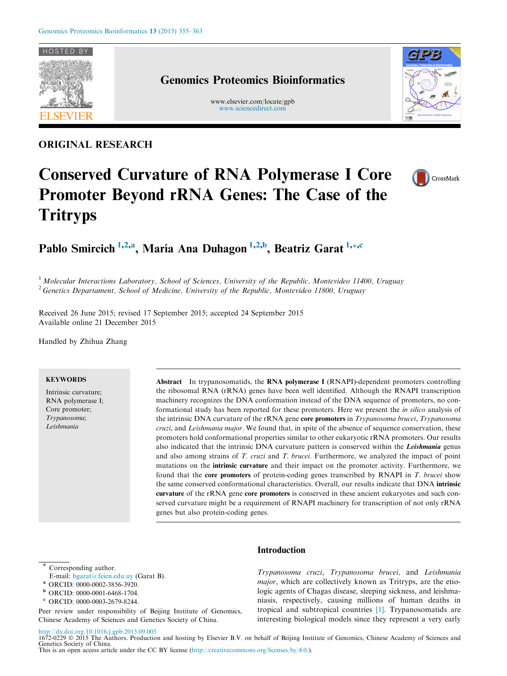

## Genomics Proteomics Bioinformatics

www.elsevier.com/locate/gpb [www.sciencedirect.com](http://www.sciencedirect.com)



### ORIGINAL RESEARCH



# Conserved Curvature of RNA Polymerase I Core Promoter Beyond rRNA Genes: The Case of the **Tritryps**

## Pablo Smircich<sup>1,2,a</sup>, María Ana Duhagon<sup>1,2,b</sup>, Beatriz Garat<sup>1,\*,c</sup>

 $1$  Molecular Interactions Laboratory, School of Sciences, University of the Republic, Montevideo 11400, Uruguay  $2^2$  Genetics Departament, School of Medicine, University of the Republic, Montevideo 11800, Uruguay

Received 26 June 2015; revised 17 September 2015; accepted 24 September 2015 Available online 21 December 2015

Handled by Zhihua Zhang

#### **KEYWORDS**

Intrinsic curvature; RNA polymerase I; Core promoter; Trypanosoma; Leishmania

Abstract In trypanosomatids, the RNA polymerase I (RNAPI)-dependent promoters controlling the ribosomal RNA (rRNA) genes have been well identified. Although the RNAPI transcription machinery recognizes the DNA conformation instead of the DNA sequence of promoters, no conformational study has been reported for these promoters. Here we present the in silico analysis of the intrinsic DNA curvature of the rRNA gene **core promoters** in *Trypanosoma brucei*, *Trypanosoma* cruzi, and Leishmania major. We found that, in spite of the absence of sequence conservation, these promoters hold conformational properties similar to other eukaryotic rRNA promoters. Our results also indicated that the intrinsic DNA curvature pattern is conserved within the Leishmania genus and also among strains of T. cruzi and T. brucei. Furthermore, we analyzed the impact of point mutations on the intrinsic curvature and their impact on the promoter activity. Furthermore, we found that the core promoters of protein-coding genes transcribed by RNAPI in T. brucei show the same conserved conformational characteristics. Overall, our results indicate that DNA intrinsic curvature of the rRNA gene core promoters is conserved in these ancient eukaryotes and such conserved curvature might be a requirement of RNAPI machinery for transcription of not only rRNA genes but also protein-coding genes.

#### Introduction

Corresponding author. E-mail: [bgarat@fcien.edu.uy](mailto:bgarat@fcien.edu.uy) (Garat B).

- ORCID: 0000-0002-3856-3920.
- <sup>b</sup> ORCID: 0000-0001-6468-1704.
- <sup>c</sup> ORCID: 0000-0003-2679-8244.

Peer review under responsibility of Beijing Institute of Genomics, Chinese Academy of Sciences and Genetics Society of China.

Trypanosoma cruzi, Trypanosoma brucei, and Leishmania major, which are collectively known as Tritryps, are the etiologic agents of Chagas disease, sleeping sickness, and leishmaniasis, respectively, causing millions of human deaths in tropical and subtropical countries [\[1\]](#page-7-0). Trypanosomatids are interesting biological models since they represent a very early

#### <http://dx.doi.org/10.1016/j.gpb.2015.09.005>

1672-0229 © 2015 The Authors. Production and hosting by Elsevier B.V. on behalf of Beijing Institute of Genomics, Chinese Academy of Sciences and Genetics Society of China. This is an open access article under the CC BY license [\(http://creativecommons.org/licenses/by/4.0/\)](http://creativecommons.org/licenses/by/4.0/).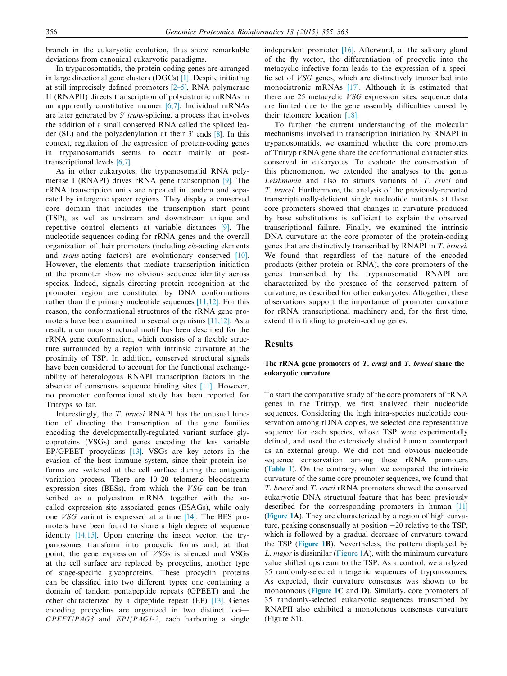branch in the eukaryotic evolution, thus show remarkable deviations from canonical eukaryotic paradigms.

In trypanosomatids, the protein-coding genes are arranged in large directional gene clusters (DGCs) [\[1\].](#page-7-0) Despite initiating at still imprecisely defined promoters [\[2–5\]](#page-7-0), RNA polymerase II (RNAPII) directs transcription of polycistronic mRNAs in an apparently constitutive manner [\[6,7\].](#page-7-0) Individual mRNAs are later generated by 5' trans-splicing, a process that involves the addition of a small conserved RNA called the spliced leader (SL) and the polyadenylation at their  $3'$  ends [\[8\]](#page-7-0). In this context, regulation of the expression of protein-coding genes in trypanosomatids seems to occur mainly at posttranscriptional levels [\[6,7\].](#page-7-0)

As in other eukaryotes, the trypanosomatid RNA polymerase I (RNAPI) drives rRNA gene transcription [\[9\].](#page-7-0) The rRNA transcription units are repeated in tandem and separated by intergenic spacer regions. They display a conserved core domain that includes the transcription start point (TSP), as well as upstream and downstream unique and repetitive control elements at variable distances [\[9\]](#page-7-0). The nucleotide sequences coding for rRNA genes and the overall organization of their promoters (including cis-acting elements and trans-acting factors) are evolutionary conserved [\[10\]](#page-7-0). However, the elements that mediate transcription initiation at the promoter show no obvious sequence identity across species. Indeed, signals directing protein recognition at the promoter region are constituted by DNA conformations rather than the primary nucleotide sequences [\[11,12\]](#page-7-0). For this reason, the conformational structures of the rRNA gene promoters have been examined in several organisms [\[11,12\].](#page-7-0) As a result, a common structural motif has been described for the rRNA gene conformation, which consists of a flexible structure surrounded by a region with intrinsic curvature at the proximity of TSP. In addition, conserved structural signals have been considered to account for the functional exchangeability of heterologous RNAPI transcription factors in the absence of consensus sequence binding sites [\[11\]](#page-7-0). However, no promoter conformational study has been reported for Tritryps so far.

Interestingly, the T. brucei RNAPI has the unusual function of directing the transcription of the gene families encoding the developmentally-regulated variant surface glycoproteins (VSGs) and genes encoding the less variable EP/GPEET procyclinss [\[13\]](#page-7-0). VSGs are key actors in the evasion of the host immune system, since their protein isoforms are switched at the cell surface during the antigenic variation process. There are 10–20 telomeric bloodstream expression sites (BESs), from which the VSG can be transcribed as a polycistron mRNA together with the socalled expression site associated genes (ESAGs), while only one VSG variant is expressed at a time [\[14\]](#page-7-0). The BES promoters have been found to share a high degree of sequence identity [\[14,15\].](#page-7-0) Upon entering the insect vector, the trypanosomes transform into procyclic forms and, at that point, the gene expression of VSGs is silenced and VSGs at the cell surface are replaced by procyclins, another type of stage-specific glycoproteins. These procyclin proteins can be classified into two different types: one containing a domain of tandem pentapeptide repeats (GPEET) and the other characterized by a dipeptide repeat (EP) [\[13\]](#page-7-0). Genes encoding procyclins are organized in two distinct loci—  $GPEET/PAG3$  and  $EPI/PAG1-2$ , each harboring a single independent promoter [\[16\]](#page-7-0). Afterward, at the salivary gland of the fly vector, the differentiation of procyclic into the metacyclic infective form leads to the expression of a specific set of VSG genes, which are distinctively transcribed into monocistronic mRNAs [\[17\].](#page-7-0) Although it is estimated that there are 25 metacyclic VSG expression sites, sequence data are limited due to the gene assembly difficulties caused by their telomere location [\[18\]](#page-7-0).

To further the current understanding of the molecular mechanisms involved in transcription initiation by RNAPI in trypanosomatids, we examined whether the core promoters of Tritryp rRNA gene share the conformational characteristics conserved in eukaryotes. To evaluate the conservation of this phenomenon, we extended the analyses to the genus Leishmania and also to strains variants of T. cruzi and T. brucei. Furthermore, the analysis of the previously-reported transcriptionally-deficient single nucleotide mutants at these core promoters showed that changes in curvature produced by base substitutions is sufficient to explain the observed transcriptional failure. Finally, we examined the intrinsic DNA curvature at the core promoter of the protein-coding genes that are distinctively transcribed by RNAPI in T. brucei. We found that regardless of the nature of the encoded products (either protein or RNA), the core promoters of the genes transcribed by the trypanosomatid RNAPI are characterized by the presence of the conserved pattern of curvature, as described for other eukaryotes. Altogether, these observations support the importance of promoter curvature for rRNA transcriptional machinery and, for the first time, extend this finding to protein-coding genes.

#### **Results**

#### The rRNA gene promoters of T. cruzi and T. brucei share the eukaryotic curvature

To start the comparative study of the core promoters of rRNA genes in the Tritryp, we first analyzed their nucleotide sequences. Considering the high intra-species nucleotide conservation among rDNA copies, we selected one representative sequence for each species, whose TSP were experimentally defined, and used the extensively studied human counterpart as an external group. We did not find obvious nucleotide sequence conservation among these rRNA promoters ([Table 1](#page-2-0)). On the contrary, when we compared the intrinsic curvature of the same core promoter sequences, we found that T. brucei and T. cruzi rRNA promoters showed the conserved eukaryotic DNA structural feature that has been previously described for the corresponding promoters in human [\[11\]](#page-7-0) ([Figure 1](#page-2-0)A). They are characterized by a region of high curvature, peaking consensually at position -20 relative to the TSP, which is followed by a gradual decrease of curvature toward the TSP ([Figure 1B](#page-2-0)). Nevertheless, the pattern displayed by L. major is dissimilar [\(Figure 1](#page-2-0)A), with the minimum curvature value shifted upstream to the TSP. As a control, we analyzed 35 randomly-selected intergenic sequences of trypanosomes. As expected, their curvature consensus was shown to be monotonous ([Figure 1](#page-2-0)C and D). Similarly, core promoters of 35 randomly-selected eukaryotic sequences transcribed by RNAPII also exhibited a monotonous consensus curvature (Figure S1).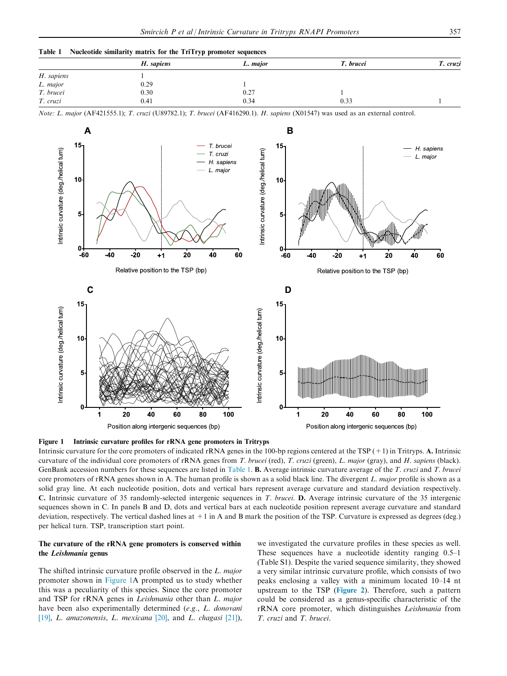<span id="page-2-0"></span>

| Table 1<br>Nucleotide similarity matrix for the TriTryp promoter sequences |  |
|----------------------------------------------------------------------------|--|
|----------------------------------------------------------------------------|--|

|            | H. sapiens | L. major | T. brucei | T. cruzi |
|------------|------------|----------|-----------|----------|
| H. sapiens |            |          |           |          |
| L. major   | 0.29       |          |           |          |
| T. brucei  | 0.30       | 0.27     |           |          |
| T. cruzi   | 0.41       | 0.34     | 0.33      |          |

Note: L. major (AF421555.1); T. cruzi (U89782.1); T. brucei (AF416290.1). H. sapiens (X01547) was used as an external control.



Figure 1 Intrinsic curvature profiles for rRNA gene promoters in Tritryps

Intrinsic curvature for the core promoters of indicated  $rRNA$  genes in the 100-bp regions centered at the TSP  $(+1)$  in Tritryps. A. Intrinsic curvature of the individual core promoters of rRNA genes from T. brucei (red), T. cruzi (green), L. major (gray), and H. sapiens (black). GenBank accession numbers for these sequences are listed in Table 1. **B.** Average intrinsic curvature average of the T. cruzi and T. brucei core promoters of rRNA genes shown in A. The human profile is shown as a solid black line. The divergent L. major profile is shown as a solid gray line. At each nucleotide position, dots and vertical bars represent average curvature and standard deviation respectively. C. Intrinsic curvature of 35 randomly-selected intergenic sequences in T. brucei. D. Average intrinsic curvature of the 35 intergenic sequences shown in C. In panels B and D, dots and vertical bars at each nucleotide position represent average curvature and standard deviation, respectively. The vertical dashed lines at  $+1$  in A and B mark the position of the TSP. Curvature is expressed as degrees (deg.) per helical turn. TSP, transcription start point.

#### The curvature of the rRNA gene promoters is conserved within the Leishmania genus

The shifted intrinsic curvature profile observed in the L. major promoter shown in Figure 1A prompted us to study whether this was a peculiarity of this species. Since the core promoter and TSP for rRNA genes in *Leishmania* other than *L. major* have been also experimentally determined (e.g., L. donovani [\[19\]](#page-7-0), *L. amazonensis*, *L. mexicana* [\[20\]](#page-7-0), and *L. chagasi* [\[21\]](#page-7-0)), we investigated the curvature profiles in these species as well. These sequences have a nucleotide identity ranging 0.5–1 (Table S1). Despite the varied sequence similarity, they showed a very similar intrinsic curvature profile, which consists of two peaks enclosing a valley with a minimum located 10–14 nt upstream to the TSP ([Figure 2](#page-3-0)). Therefore, such a pattern could be considered as a genus-specific characteristic of the rRNA core promoter, which distinguishes Leishmania from T. cruzi and T. brucei.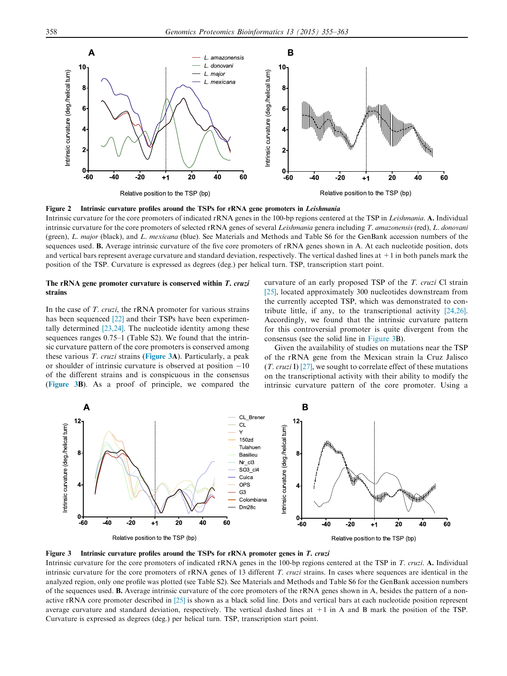<span id="page-3-0"></span>

Figure 2 Intrinsic curvature profiles around the TSPs for rRNA gene promoters in Leishmania

Intrinsic curvature for the core promoters of indicated rRNA genes in the 100-bp regions centered at the TSP in Leishmania. A. Individual intrinsic curvature for the core promoters of selected rRNA genes of several Leishmania genera including T. amazonensis (red), L. donovani (green), L. major (black), and L. mexicana (blue). See Materials and Methods and Table S6 for the GenBank accession numbers of the sequences used. **B.** Average intrinsic curvature of the five core promoters of rRNA genes shown in A. At each nucleotide position, dots and vertical bars represent average curvature and standard deviation, respectively. The vertical dashed lines at  $+1$  in both panels mark the position of the TSP. Curvature is expressed as degrees (deg.) per helical turn. TSP, transcription start point.

#### The rRNA gene promoter curvature is conserved within T. cruzi strains

In the case of  $T$ . *cruzi*, the rRNA promoter for various strains has been sequenced [\[22\]](#page-7-0) and their TSPs have been experimentally determined [\[23,24\]](#page-7-0). The nucleotide identity among these sequences ranges 0.75–1 (Table S2). We found that the intrinsic curvature pattern of the core promoters is conserved among these various T. cruzi strains (Figure 3A). Particularly, a peak or shoulder of intrinsic curvature is observed at position  $-10$ of the different strains and is conspicuous in the consensus (Figure 3B). As a proof of principle, we compared the curvature of an early proposed TSP of the T. cruzi Cl strain [\[25\],](#page-7-0) located approximately 300 nucleotides downstream from the currently accepted TSP, which was demonstrated to contribute little, if any, to the transcriptional activity [\[24,26\]](#page-7-0). Accordingly, we found that the intrinsic curvature pattern for this controversial promoter is quite divergent from the consensus (see the solid line in Figure 3B).

Given the availability of studies on mutations near the TSP of the rRNA gene from the Mexican strain la Cruz Jalisco  $(T.\text{cruzi I})$  [\[27\],](#page-8-0) we sought to correlate effect of these mutations on the transcriptional activity with their ability to modify the intrinsic curvature pattern of the core promoter. Using a





Intrinsic curvature for the core promoters of indicated rRNA genes in the 100-bp regions centered at the TSP in T. cruzi. A. Individual intrinsic curvature for the core promoters of rRNA genes of 13 different T. cruzi strains. In cases where sequences are identical in the analyzed region, only one profile was plotted (see Table S2). See Materials and Methods and Table S6 for the GenBank accession numbers of the sequences used. B. Average intrinsic curvature of the core promoters of the rRNA genes shown in A, besides the pattern of a nonactive rRNA core promoter described in [\[25\]](#page-7-0) is shown as a black solid line. Dots and vertical bars at each nucleotide position represent average curvature and standard deviation, respectively. The vertical dashed lines at  $+1$  in A and B mark the position of the TSP. Curvature is expressed as degrees (deg.) per helical turn. TSP, transcription start point.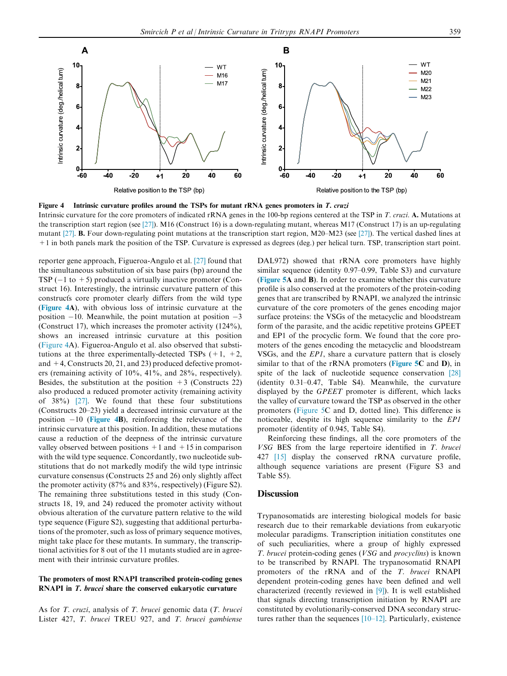

Figure 4 Intrinsic curvature profiles around the TSPs for mutant rRNA genes promoters in T. cruzi Intrinsic curvature for the core promoters of indicated rRNA genes in the 100-bp regions centered at the TSP in T. cruzi. A. Mutations at the transcription start region (see [\[27\]\)](#page-8-0). M16 (Construct 16) is a down-regulating mutant, whereas M17 (Construct 17) is an up-regulating mutant [\[27\]](#page-8-0). **B.** Four down-regulating point mutations at the transcription start region, M20–M23 (see [\[27\]\)](#page-8-0). The vertical dashed lines at +1 in both panels mark the position of the TSP. Curvature is expressed as degrees (deg.) per helical turn. TSP, transcription start point.

reporter gene approach, Figueroa-Angulo et al. [\[27\]](#page-8-0) found that the simultaneous substitution of six base pairs (bp) around the  $TSP(-1 \text{ to } +5)$  produced a virtually inactive promoter (Construct 16). Interestingly, the intrinsic curvature pattern of this construct's core promoter clearly differs from the wild type (Figure 4A), with obvious loss of intrinsic curvature at the position  $-10$ . Meanwhile, the point mutation at position  $-3$ (Construct 17), which increases the promoter activity (124%), shows an increased intrinsic curvature at this position (Figure 4A). Figueroa-Angulo et al. also observed that substitutions at the three experimentally-detected TSPs  $(+1, +2,$ and +4, Constructs 20, 21, and 23) produced defective promoters (remaining activity of 10%, 41%, and 28%, respectively). Besides, the substitution at the position  $+3$  (Constructs 22) also produced a reduced promoter activity (remaining activity of 38%) [\[27\].](#page-8-0) We found that these four substitutions (Constructs 20–23) yield a decreased intrinsic curvature at the position  $-10$  (Figure 4B), reinforcing the relevance of the intrinsic curvature at this position. In addition, these mutations cause a reduction of the deepness of the intrinsic curvature valley observed between positions  $+1$  and  $+15$  in comparison with the wild type sequence. Concordantly, two nucleotide substitutions that do not markedly modify the wild type intrinsic curvature consensus (Constructs 25 and 26) only slightly affect the promoter activity (87% and 83%, respectively) (Figure S2). The remaining three substitutions tested in this study (Constructs 18, 19, and 24) reduced the promoter activity without obvious alteration of the curvature pattern relative to the wild type sequence (Figure S2), suggesting that additional perturbations of the promoter, such as loss of primary sequence motives, might take place for these mutants. In summary, the transcriptional activities for 8 out of the 11 mutants studied are in agreement with their intrinsic curvature profiles.

#### The promoters of most RNAPI transcribed protein-coding genes RNAPI in T. brucei share the conserved eukaryotic curvature

As for *T. cruzi*, analysis of *T. brucei* genomic data (*T. brucei* Lister 427, T. brucei TREU 927, and T. brucei gambiense DAL972) showed that rRNA core promoters have highly similar sequence (identity 0.97–0.99, Table S3) and curvature ([Figure 5A](#page-5-0) and B). In order to examine whether this curvature profile is also conserved at the promoters of the protein-coding genes that are transcribed by RNAPI, we analyzed the intrinsic curvature of the core promoters of the genes encoding major surface proteins: the VSGs of the metacyclic and bloodstream form of the parasite, and the acidic repetitive proteins GPEET and EP1 of the procyclic form. We found that the core promoters of the genes encoding the metacyclic and bloodstream VSGs, and the EP1, share a curvature pattern that is closely similar to that of the rRNA promoters ([Figure 5C](#page-5-0) and D), in spite of the lack of nucleotide sequence conservation [\[28\]](#page-8-0) (identity 0.31–0.47, Table S4). Meanwhile, the curvature displayed by the GPEET promoter is different, which lacks the valley of curvature toward the TSP as observed in the other promoters [\(Figure 5C](#page-5-0) and D, dotted line). This difference is noticeable, despite its high sequence similarity to the EP1 promoter (identity of 0.945, Table S4).

Reinforcing these findings, all the core promoters of the VSG BES from the large repertoire identified in T. brucei 427 [\[15\]](#page-7-0) display the conserved rRNA curvature profile, although sequence variations are present (Figure S3 and Table S5).

#### **Discussion**

Trypanosomatids are interesting biological models for basic research due to their remarkable deviations from eukaryotic molecular paradigms. Transcription initiation constitutes one of such peculiarities, where a group of highly expressed T. brucei protein-coding genes (VSG and procyclins) is known to be transcribed by RNAPI. The trypanosomatid RNAPI promoters of the rRNA and of the T. brucei RNAPI dependent protein-coding genes have been defined and well characterized (recently reviewed in [\[9\]\)](#page-7-0). It is well established that signals directing transcription initiation by RNAPI are constituted by evolutionarily-conserved DNA secondary structures rather than the sequences [\[10–12\]](#page-7-0). Particularly, existence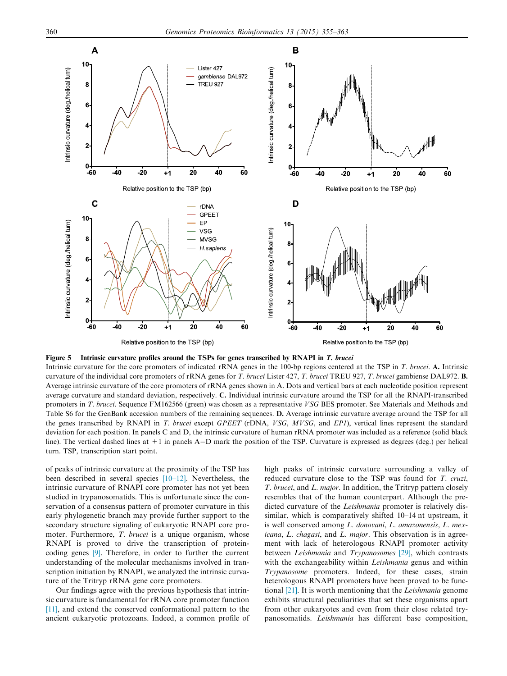<span id="page-5-0"></span>

Figure 5 Intrinsic curvature profiles around the TSPs for genes transcribed by RNAPI in T. brucei

Intrinsic curvature for the core promoters of indicated rRNA genes in the 100-bp regions centered at the TSP in T. brucei. A. Intrinsic curvature of the individual core promoters of rRNA genes for T. brucei Lister 427, T. brucei TREU 927, T. brucei gambiense DAL972. B. Average intrinsic curvature of the core promoters of rRNA genes shown in A. Dots and vertical bars at each nucleotide position represent average curvature and standard deviation, respectively. C. Individual intrinsic curvature around the TSP for all the RNAPI-transcribed promoters in T. brucei. Sequence FM162566 (green) was chosen as a representative VSG BES promoter. See Materials and Methods and Table S6 for the GenBank accession numbers of the remaining sequences. D. Average intrinsic curvature average around the TSP for all the genes transcribed by RNAPI in T. brucei except GPEET (rDNA, VSG, MVSG, and EP1), vertical lines represent the standard deviation for each position. In panels C and D, the intrinsic curvature of human rRNA promoter was included as a reference (solid black line). The vertical dashed lines at +1 in panels A-D mark the position of the TSP. Curvature is expressed as degrees (deg.) per helical turn. TSP, transcription start point.

of peaks of intrinsic curvature at the proximity of the TSP has been described in several species [\[10–12\]](#page-7-0). Nevertheless, the intrinsic curvature of RNAPI core promoter has not yet been studied in trypanosomatids. This is unfortunate since the conservation of a consensus pattern of promoter curvature in this early phylogenetic branch may provide further support to the secondary structure signaling of eukaryotic RNAPI core promoter. Furthermore, *T. brucei* is a unique organism, whose RNAPI is proved to drive the transcription of proteincoding genes [\[9\]](#page-7-0). Therefore, in order to further the current understanding of the molecular mechanisms involved in transcription initiation by RNAPI, we analyzed the intrinsic curvature of the Tritryp rRNA gene core promoters.

Our findings agree with the previous hypothesis that intrinsic curvature is fundamental for rRNA core promoter function [\[11\],](#page-7-0) and extend the conserved conformational pattern to the ancient eukaryotic protozoans. Indeed, a common profile of high peaks of intrinsic curvature surrounding a valley of reduced curvature close to the TSP was found for T. cruzi, T. brucei, and L. major. In addition, the Tritryp pattern closely resembles that of the human counterpart. Although the predicted curvature of the Leishmania promoter is relatively dissimilar, which is comparatively shifted 10–14 nt upstream, it is well conserved among L. donovani, L. amazonensis, L. mexicana, L. chagasi, and L. major. This observation is in agreement with lack of heterologous RNAPI promoter activity between Leishmania and Trypanosomes [\[29\],](#page-8-0) which contrasts with the exchangeability within *Leishmania* genus and within Trypanosome promoters. Indeed, for these cases, strain heterologous RNAPI promoters have been proved to be functional [\[21\]](#page-7-0). It is worth mentioning that the Leishmania genome exhibits structural peculiarities that set these organisms apart from other eukaryotes and even from their close related trypanosomatids. Leishmania has different base composition,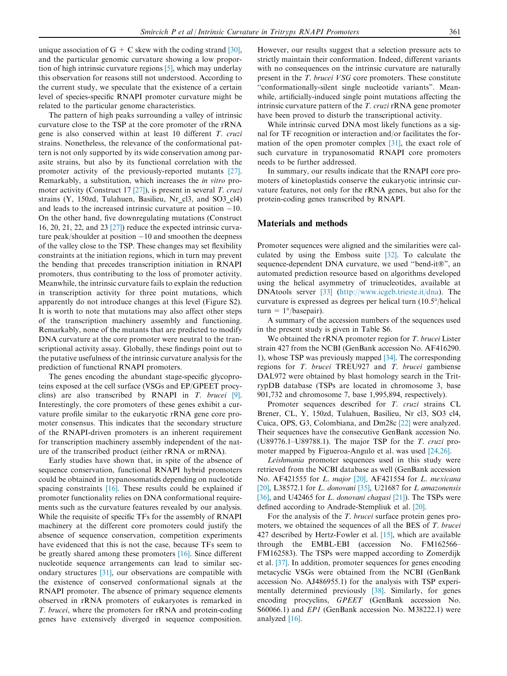unique association of  $G + C$  skew with the coding strand [\[30\]](#page-8-0). and the particular genomic curvature showing a low proportion of high intrinsic curvature regions [\[5\],](#page-7-0) which may underlay this observation for reasons still not understood. According to the current study, we speculate that the existence of a certain level of species-specific RNAPI promoter curvature might be related to the particular genome characteristics.

The pattern of high peaks surrounding a valley of intrinsic curvature close to the TSP at the core promoter of the rRNA gene is also conserved within at least 10 different T. cruzi strains. Nonetheless, the relevance of the conformational pattern is not only supported by its wide conservation among parasite strains, but also by its functional correlation with the promoter activity of the previously-reported mutants [\[27\]](#page-8-0). Remarkably, a substitution, which increases the in vitro promoter activity (Construct 17  $[27]$ ), is present in several T. cruzi strains (Y, 150zd, Tulahuen, Basilieu, Nr\_cl3, and SO3\_cl4) and leads to the increased intrinsic curvature at position  $-10$ . On the other hand, five downregulating mutations (Construct 16, 20, 21, 22, and 23 [\[27\]](#page-8-0)) reduce the expected intrinsic curvature peak/shoulder at position  $-10$  and smoothen the deepness of the valley close to the TSP. These changes may set flexibility constraints at the initiation regions, which in turn may prevent the bending that precedes transcription initiation in RNAPI promoters, thus contributing to the loss of promoter activity. Meanwhile, the intrinsic curvature fails to explain the reduction in transcription activity for three point mutations, which apparently do not introduce changes at this level (Figure S2). It is worth to note that mutations may also affect other steps of the transcription machinery assembly and functioning. Remarkably, none of the mutants that are predicted to modify DNA curvature at the core promoter were neutral to the transcriptional activity assay. Globally, these findings point out to the putative usefulness of the intrinsic curvature analysis for the prediction of functional RNAPI promoters.

The genes encoding the abundant stage-specific glycoproteins exposed at the cell surface (VSGs and EP/GPEET procyclins) are also transcribed by RNAPI in T. brucei [\[9\]](#page-7-0). Interestingly, the core promoters of these genes exhibit a curvature profile similar to the eukaryotic rRNA gene core promoter consensus. This indicates that the secondary structure of the RNAPI-driven promoters is an inherent requirement for transcription machinery assembly independent of the nature of the transcribed product (either rRNA or mRNA).

Early studies have shown that, in spite of the absence of sequence conservation, functional RNAPI hybrid promoters could be obtained in trypanosomatids depending on nucleotide spacing constraints [\[16\]](#page-7-0). These results could be explained if promoter functionality relies on DNA conformational requirements such as the curvature features revealed by our analysis. While the requisite of specific TFs for the assembly of RNAPI machinery at the different core promoters could justify the absence of sequence conservation, competition experiments have evidenced that this is not the case, because TFs seem to be greatly shared among these promoters [\[16\]](#page-7-0). Since different nucleotide sequence arrangements can lead to similar secondary structures [\[31\]](#page-8-0), our observations are compatible with the existence of conserved conformational signals at the RNAPI promoter. The absence of primary sequence elements observed in rRNA promoters of eukaryotes is remarked in T. brucei, where the promoters for rRNA and protein-coding genes have extensively diverged in sequence composition. However, our results suggest that a selection pressure acts to strictly maintain their conformation. Indeed, different variants with no consequences on the intrinsic curvature are naturally present in the T. brucei VSG core promoters. These constitute ''conformationally-silent single nucleotide variants". Meanwhile, artificially-induced single point mutations affecting the intrinsic curvature pattern of the T. cruzi rRNA gene promoter have been proved to disturb the transcriptional activity.

While intrinsic curved DNA most likely functions as a signal for TF recognition or interaction and/or facilitates the formation of the open promoter complex [\[31\],](#page-8-0) the exact role of such curvature in trypanosomatid RNAPI core promoters needs to be further addressed.

In summary, our results indicate that the RNAPI core promoters of kinetoplastids conserve the eukaryotic intrinsic curvature features, not only for the rRNA genes, but also for the protein-coding genes transcribed by RNAPI.

#### Materials and methods

Promoter sequences were aligned and the similarities were calculated by using the Emboss suite [\[32\]](#page-8-0). To calculate the sequence-dependent DNA curvature, we used "bend-it®", an automated prediction resource based on algorithms developed using the helical asymmetry of trinucleotides, available at DNAtools server [\[33\]](#page-8-0) [\(http://www.icgeb.trieste.it/dna\)](http://www.icgeb.trieste.it/dna). The curvature is expressed as degrees per helical turn  $(10.5^{\circ}/\text{helical})$ turn =  $1^{\circ}/\text{basepair}$ ).

A summary of the accession numbers of the sequences used in the present study is given in Table S6.

We obtained the rRNA promoter region for T. brucei Lister strain 427 from the NCBI (GenBank accession No. AF416290. 1), whose TSP was previously mapped [\[34\].](#page-8-0) The corresponding regions for T. brucei TREU927 and T. brucei gambiense DAL972 were obtained by blast homology search in the TritrypDB database (TSPs are located in chromosome 3, base 901,732 and chromosome 7, base 1,995,894, respectively).

Promoter sequences described for T. cruzi strains CL Brener, CL, Y, 150zd, Tulahuen, Basilieu, Nr cl3, SO3 cl4, Cuica, OPS, G3, Colombiana, and Dm28c [\[22\]](#page-7-0) were analyzed. Their sequences have the consecutive GenBank accession No. (U89776.1–U89788.1). The major TSP for the T. cruzi promoter mapped by Figueroa-Angulo et al. was used [\[24,26\]](#page-7-0).

Leishmania promoter sequences used in this study were retrieved from the NCBI database as well (GenBank accession No. AF421555 for *L. major* [\[20\]](#page-7-0), AF421554 for *L. mexicana* [\[20\]](#page-7-0), L38572.1 for *L. donovani* [\[35\]](#page-8-0), U21687 for *L amazonensis* [\[36\]](#page-8-0), and U42465 for L. donovani chagasi [\[21\]\)](#page-7-0). The TSPs were defined according to Andrade-Stempliuk et al. [\[20\]](#page-7-0).

For the analysis of the T. brucei surface protein genes promoters, we obtained the sequences of all the BES of T. brucei 427 described by Hertz-Fowler et al. [\[15\]](#page-7-0), which are available through the EMBL-EBI (accession No. FM162566– FM162583). The TSPs were mapped according to Zomerdijk et al. [\[37\].](#page-8-0) In addition, promoter sequences for genes encoding metacyclic VSGs were obtained from the NCBI (GenBank accession No. AJ486955.1) for the analysis with TSP experimentally determined previously [\[38\].](#page-8-0) Similarly, for genes encoding procyclins, GPEET (GenBank accession No. S60066.1) and *EP1* (GenBank accession No. M38222.1) were analyzed [\[16\].](#page-7-0)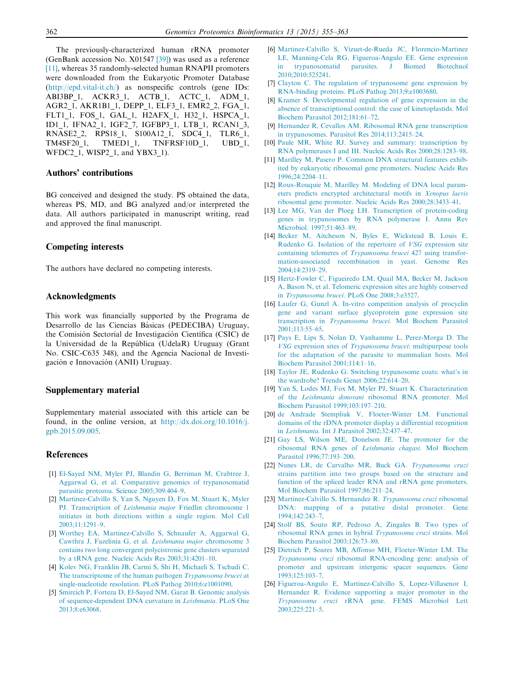<span id="page-7-0"></span>The previously-characterized human rRNA promoter (GenBank accession No. X01547 [\[39\]\)](#page-8-0) was used as a reference [11], whereas 35 randomly-selected human RNAPII promoters were downloaded from the Eukaryotic Promoter Database ([http://epd.vital-it.ch/\)](http://epd.vital-it.ch/) as nonspecific controls (gene IDs: ABI3BP\_1, ACKR3\_1, ACTB\_1, ACTC\_1, ADM\_1, AGR2\_1, AKR1B1\_1, DEPP\_1, ELF3\_1, EMR2\_2, FGA\_1, FLT1\_1, FOS\_1, GAL\_1, H2AFX\_1, H32\_1, HSPCA\_1, ID1\_1, IFNA2\_1, IGF2\_7, IGFBP3\_1, LTB\_1, RCAN1\_3, RNASE2\_2, RPS18\_1, S100A12\_1, SDC4\_1, TLR6\_1, TM4SF20\_1, TMED1\_1, TNFRSF10D\_1, UBD\_1, WFDC2\_1, WISP2\_1, and YBX3\_1).

#### Authors' contributions

BG conceived and designed the study. PS obtained the data, whereas PS, MD, and BG analyzed and/or interpreted the data. All authors participated in manuscript writing, read and approved the final manuscript.

#### Competing interests

The authors have declared no competing interests.

#### Acknowledgments

This work was financially supported by the Programa de Desarrollo de las Ciencias Básicas (PEDECIBA) Uruguay, the Comisión Sectorial de Investigación Científica (CSIC) de la Universidad de la República (UdelaR) Uruguay (Grant No. CSIC-C635 348), and the Agencia Nacional de Investigación e Innovación (ANII) Uruguay.

#### Supplementary material

Supplementary material associated with this article can be found, in the online version, at [http://dx.doi.org/10.1016/j.](http://dx.doi.org/10.1016/j.gpb.2015.09.005) [gpb.2015.09.005.](http://dx.doi.org/10.1016/j.gpb.2015.09.005)

#### **References**

- [1] [El-Sayed NM, Myler PJ, Blandin G, Berriman M, Crabtree J,](http://refhub.elsevier.com/S1672-0229(15)00169-2/h0005) [Aggarwal G, et al. Comparative genomics of trypanosomatid](http://refhub.elsevier.com/S1672-0229(15)00169-2/h0005) [parasitic protozoa. Science 2005;309:404–9.](http://refhub.elsevier.com/S1672-0229(15)00169-2/h0005)
- [2] [Martinez-Calvillo S, Yan S, Nguyen D, Fox M, Stuart K, Myler](http://refhub.elsevier.com/S1672-0229(15)00169-2/h0010) PJ. Transcription of Leishmania major [Friedlin chromosome 1](http://refhub.elsevier.com/S1672-0229(15)00169-2/h0010) [initiates in both directions within a single region. Mol Cell](http://refhub.elsevier.com/S1672-0229(15)00169-2/h0010) [2003;11:1291–9](http://refhub.elsevier.com/S1672-0229(15)00169-2/h0010).
- [3] [Worthey EA, Martinez-Calvillo S, Schnaufer A, Aggarwal G,](http://refhub.elsevier.com/S1672-0229(15)00169-2/h0015) [Cawthra J, Fazelinia G, et al.](http://refhub.elsevier.com/S1672-0229(15)00169-2/h0015) Leishmania major chromosome 3 [contains two long convergent polycistronic gene clusters separated](http://refhub.elsevier.com/S1672-0229(15)00169-2/h0015) [by a tRNA gene. Nucleic Acids Res 2003;31:4201–10.](http://refhub.elsevier.com/S1672-0229(15)00169-2/h0015)
- [4] [Kolev NG, Franklin JB, Carmi S, Shi H, Michaeli S, Tschudi C.](http://refhub.elsevier.com/S1672-0229(15)00169-2/h0020) [The transcriptome of the human pathogen](http://refhub.elsevier.com/S1672-0229(15)00169-2/h0020) Trypanosoma brucei at [single-nucleotide resolution. PLoS Pathog 2010;6:e1001090.](http://refhub.elsevier.com/S1672-0229(15)00169-2/h0020)
- [5] [Smircich P, Forteza D, El-Sayed NM, Garat B. Genomic analysis](http://refhub.elsevier.com/S1672-0229(15)00169-2/h0025) [of sequence-dependent DNA curvature in](http://refhub.elsevier.com/S1672-0229(15)00169-2/h0025) Leishmania. PLoS One [2013;8:e63068.](http://refhub.elsevier.com/S1672-0229(15)00169-2/h0025)
- [6] [Martinez-Calvillo S, Vizuet-de-Rueda JC, Florencio-Martinez](http://refhub.elsevier.com/S1672-0229(15)00169-2/h0030) [LE, Manning-Cela RG, Figueroa-Angulo EE. Gene expression](http://refhub.elsevier.com/S1672-0229(15)00169-2/h0030) [in trypanosomatid parasites. J Biomed Biotechnol](http://refhub.elsevier.com/S1672-0229(15)00169-2/h0030) [2010;2010:525241](http://refhub.elsevier.com/S1672-0229(15)00169-2/h0030).
- [7] [Clayton C. The regulation of trypanosome gene expression by](http://refhub.elsevier.com/S1672-0229(15)00169-2/h0035) [RNA-binding proteins. PLoS Pathog 2013;9:e1003680.](http://refhub.elsevier.com/S1672-0229(15)00169-2/h0035)
- [8] [Kramer S. Developmental regulation of gene expression in the](http://refhub.elsevier.com/S1672-0229(15)00169-2/h0040) [absence of transcriptional control: the case of kinetoplastids. Mol](http://refhub.elsevier.com/S1672-0229(15)00169-2/h0040) [Biochem Parasitol 2012;181:61–72.](http://refhub.elsevier.com/S1672-0229(15)00169-2/h0040)
- [9] [Hernandez R, Cevallos AM. Ribosomal RNA gene transcription](http://refhub.elsevier.com/S1672-0229(15)00169-2/h0045) [in trypanosomes. Parasitol Res 2014;113:2415–24.](http://refhub.elsevier.com/S1672-0229(15)00169-2/h0045)
- [10] [Paule MR, White RJ. Survey and summary: transcription by](http://refhub.elsevier.com/S1672-0229(15)00169-2/h0050) [RNA polymerases I and III. Nucleic Acids Res 2000;28:1283–98.](http://refhub.elsevier.com/S1672-0229(15)00169-2/h0050)
- [11] [Marilley M, Pasero P. Common DNA structural features exhib](http://refhub.elsevier.com/S1672-0229(15)00169-2/h0055)[ited by eukaryotic ribosomal gene promoters. Nucleic Acids Res](http://refhub.elsevier.com/S1672-0229(15)00169-2/h0055) [1996;24:2204–11](http://refhub.elsevier.com/S1672-0229(15)00169-2/h0055).
- [12] [Roux-Rouquie M, Marilley M. Modeling of DNA local param](http://refhub.elsevier.com/S1672-0229(15)00169-2/h0060)[eters predicts encrypted architectural motifs in](http://refhub.elsevier.com/S1672-0229(15)00169-2/h0060) Xenopus laevis [ribosomal gene promoter. Nucleic Acids Res 2000;28:3433–41](http://refhub.elsevier.com/S1672-0229(15)00169-2/h0060).
- [13] [Lee MG, Van der Ploeg LH. Transcription of protein-coding](http://refhub.elsevier.com/S1672-0229(15)00169-2/h0065) [genes in trypanosomes by RNA polymerase I. Annu Rev](http://refhub.elsevier.com/S1672-0229(15)00169-2/h0065) [Microbiol. 1997;51:463–89](http://refhub.elsevier.com/S1672-0229(15)00169-2/h0065).
- [14] [Becker M, Aitcheson N, Byles E, Wickstead B, Louis E,](http://refhub.elsevier.com/S1672-0229(15)00169-2/h0070) [Rudenko G. Isolation of the repertoire of](http://refhub.elsevier.com/S1672-0229(15)00169-2/h0070) VSG expression site [containing telomeres of](http://refhub.elsevier.com/S1672-0229(15)00169-2/h0070) Trypanosoma brucei 427 using transfor[mation-associated recombination in yeast. Genome Res](http://refhub.elsevier.com/S1672-0229(15)00169-2/h0070) [2004;14:2319–29](http://refhub.elsevier.com/S1672-0229(15)00169-2/h0070).
- [15] [Hertz-Fowler C, Figueiredo LM, Quail MA, Becker M, Jackson](http://refhub.elsevier.com/S1672-0229(15)00169-2/h0075) [A, Bason N, et al. Telomeric expression sites are highly conserved](http://refhub.elsevier.com/S1672-0229(15)00169-2/h0075) in Trypanosoma brucei[. PLoS One 2008;3:e3527](http://refhub.elsevier.com/S1672-0229(15)00169-2/h0075).
- [16] [Laufer G, Gunzl A. In-vitro competition analysis of procyclin](http://refhub.elsevier.com/S1672-0229(15)00169-2/h0080) [gene and variant surface glycoprotein gene expression site](http://refhub.elsevier.com/S1672-0229(15)00169-2/h0080) transcription in Trypanosoma brucei[. Mol Biochem Parasitol](http://refhub.elsevier.com/S1672-0229(15)00169-2/h0080) [2001;113:55–65](http://refhub.elsevier.com/S1672-0229(15)00169-2/h0080).
- [17] [Pays E, Lips S, Nolan D, Vanhamme L, Perez-Morga D. The](http://refhub.elsevier.com/S1672-0229(15)00169-2/h0085) VSG expression sites of Trypanosoma brucei[: multipurpose tools](http://refhub.elsevier.com/S1672-0229(15)00169-2/h0085) [for the adaptation of the parasite to mammalian hosts. Mol](http://refhub.elsevier.com/S1672-0229(15)00169-2/h0085) [Biochem Parasitol 2001;114:1–16.](http://refhub.elsevier.com/S1672-0229(15)00169-2/h0085)
- [18] [Taylor JE, Rudenko G. Switching trypanosome coats: what's in](http://refhub.elsevier.com/S1672-0229(15)00169-2/h0090) [the wardrobe? Trends Genet 2006;22:614–20](http://refhub.elsevier.com/S1672-0229(15)00169-2/h0090).
- [19] [Yan S, Lodes MJ, Fox M, Myler PJ, Stuart K. Characterization](http://refhub.elsevier.com/S1672-0229(15)00169-2/h0095) of the Leishmania donovani [ribosomal RNA promoter. Mol](http://refhub.elsevier.com/S1672-0229(15)00169-2/h0095) [Biochem Parasitol 1999;103:197–210.](http://refhub.elsevier.com/S1672-0229(15)00169-2/h0095)
- [20] [de Andrade Stempliuk V, Floeter-Winter LM. Functional](http://refhub.elsevier.com/S1672-0229(15)00169-2/h0100) [domains of the rDNA promoter display a differential recognition](http://refhub.elsevier.com/S1672-0229(15)00169-2/h0100) in Leishmania[. Int J Parasitol 2002;32:437–47](http://refhub.elsevier.com/S1672-0229(15)00169-2/h0100).
- [21] [Gay LS, Wilson ME, Donelson JE. The promoter for the](http://refhub.elsevier.com/S1672-0229(15)00169-2/h0105) [ribosomal RNA genes of](http://refhub.elsevier.com/S1672-0229(15)00169-2/h0105) Leishmania chagasi. Mol Biochem [Parasitol 1996;77:193–200](http://refhub.elsevier.com/S1672-0229(15)00169-2/h0105).
- [22] [Nunes LR, de Carvalho MR, Buck GA.](http://refhub.elsevier.com/S1672-0229(15)00169-2/h0110) Trypanosoma cruzi [strains partition into two groups based on the structure and](http://refhub.elsevier.com/S1672-0229(15)00169-2/h0110) [function of the spliced leader RNA and rRNA gene promoters.](http://refhub.elsevier.com/S1672-0229(15)00169-2/h0110) [Mol Biochem Parasitol 1997;86:211–24.](http://refhub.elsevier.com/S1672-0229(15)00169-2/h0110)
- [23] [Martinez-Calvillo S, Hernandez R.](http://refhub.elsevier.com/S1672-0229(15)00169-2/h0115) Trypanosoma cruzi ribosomal [DNA: mapping of a putative distal promoter. Gene](http://refhub.elsevier.com/S1672-0229(15)00169-2/h0115) [1994;142:243–7](http://refhub.elsevier.com/S1672-0229(15)00169-2/h0115).
- [24] [Stolf BS, Souto RP, Pedroso A, Zingales B. Two types of](http://refhub.elsevier.com/S1672-0229(15)00169-2/h0120) [ribosomal RNA genes in hybrid](http://refhub.elsevier.com/S1672-0229(15)00169-2/h0120) Trypanosoma cruzi strains. Mol [Biochem Parasitol 2003;126:73–80.](http://refhub.elsevier.com/S1672-0229(15)00169-2/h0120)
- [25] [Dietrich P, Soares MB, Affonso MH, Floeter-Winter LM. The](http://refhub.elsevier.com/S1672-0229(15)00169-2/h0125) Trypanosoma cruzi [ribosomal RNA-encoding gene: analysis of](http://refhub.elsevier.com/S1672-0229(15)00169-2/h0125) [promoter and upstream intergenic spacer sequences. Gene](http://refhub.elsevier.com/S1672-0229(15)00169-2/h0125) [1993;125:103–7](http://refhub.elsevier.com/S1672-0229(15)00169-2/h0125).
- [26] [Figueroa-Angulo E, Martinez-Calvillo S, Lopez-Villasenor I,](http://refhub.elsevier.com/S1672-0229(15)00169-2/h0130) [Hernandez R. Evidence supporting a major promoter in the](http://refhub.elsevier.com/S1672-0229(15)00169-2/h0130) Trypanosoma cruzi [rRNA gene. FEMS Microbiol Lett](http://refhub.elsevier.com/S1672-0229(15)00169-2/h0130) [2003;225:221–5](http://refhub.elsevier.com/S1672-0229(15)00169-2/h0130).